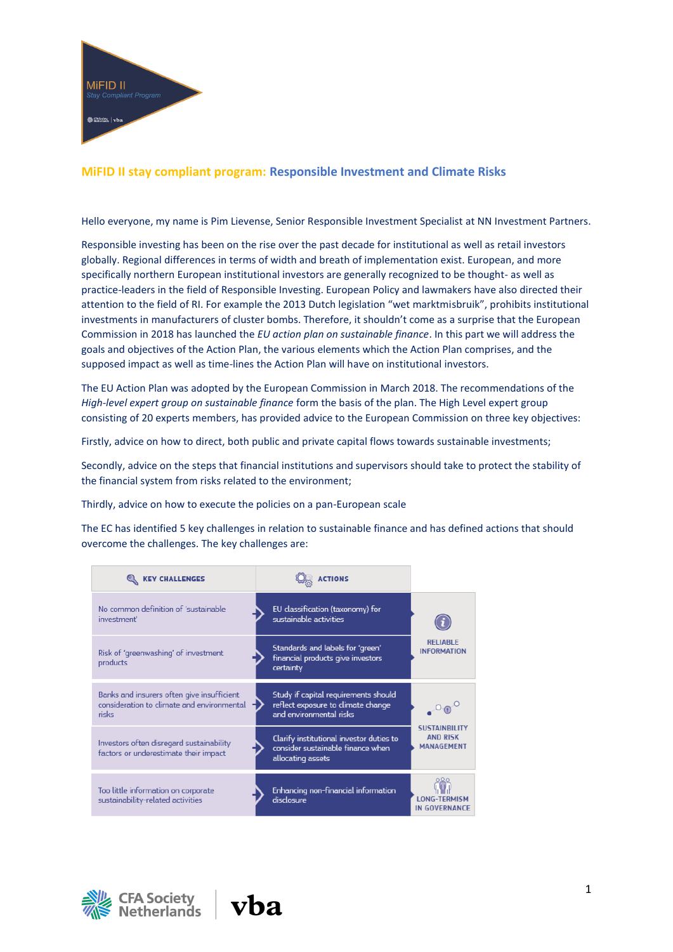

# **MiFID II stay compliant program: Responsible Investment and Climate Risks**

Hello everyone, my name is Pim Lievense, Senior Responsible Investment Specialist at NN Investment Partners.

Responsible investing has been on the rise over the past decade for institutional as well as retail investors globally. Regional differences in terms of width and breath of implementation exist. European, and more specifically northern European institutional investors are generally recognized to be thought- as well as practice-leaders in the field of Responsible Investing. European Policy and lawmakers have also directed their attention to the field of RI. For example the 2013 Dutch legislation "wet marktmisbruik", prohibits institutional investments in manufacturers of cluster bombs. Therefore, it shouldn't come as a surprise that the European Commission in 2018 has launched the *EU action plan on sustainable finance*. In this part we will address the goals and objectives of the Action Plan, the various elements which the Action Plan comprises, and the supposed impact as well as time-lines the Action Plan will have on institutional investors.

The EU Action Plan was adopted by the European Commission in March 2018. The recommendations of the *High-level expert group on sustainable finance* form the basis of the plan. The High Level expert group consisting of 20 experts members, has provided advice to the European Commission on three key objectives:

Firstly, advice on how to direct, both public and private capital flows towards sustainable investments;

Secondly, advice on the steps that financial institutions and supervisors should take to protect the stability of the financial system from risks related to the environment;

Thirdly, advice on how to execute the policies on a pan-European scale

The EC has identified 5 key challenges in relation to sustainable finance and has defined actions that should overcome the challenges. The key challenges are:

| <b>KEY CHALLENGES</b>                                                                             | <b>ACTIONS</b>                                                                                        |                                                              |
|---------------------------------------------------------------------------------------------------|-------------------------------------------------------------------------------------------------------|--------------------------------------------------------------|
| No common definition of 'sustainable<br>investment'                                               | EU classification (taxonomy) for<br>sustainable activities                                            | <b>RELIABLE</b><br><b>INFORMATION</b>                        |
| Risk of 'greenwashing' of investment<br>products                                                  | Standards and labels for 'green'<br>financial products give investors<br>certainty                    |                                                              |
| Banks and insurers often give insufficient<br>consideration to climate and environmental<br>risks | Study if capital requirements should<br>reflect exposure to climate change<br>and environmental risks |                                                              |
| Investors often disregard sustainability<br>factors or underestimate their impact                 | Clarify institutional investor duties to<br>consider sustainable finance when<br>allocating assets    | <b>SUSTAINBILITY</b><br><b>AND RISK</b><br><b>MANAGEMENT</b> |
| Too little information on corporate<br>sustainability-related activities                          | Enhancing non-financial information<br>disclosure                                                     | <b>LONG-TERMISM</b><br><b>IN GOVERNANCE</b>                  |



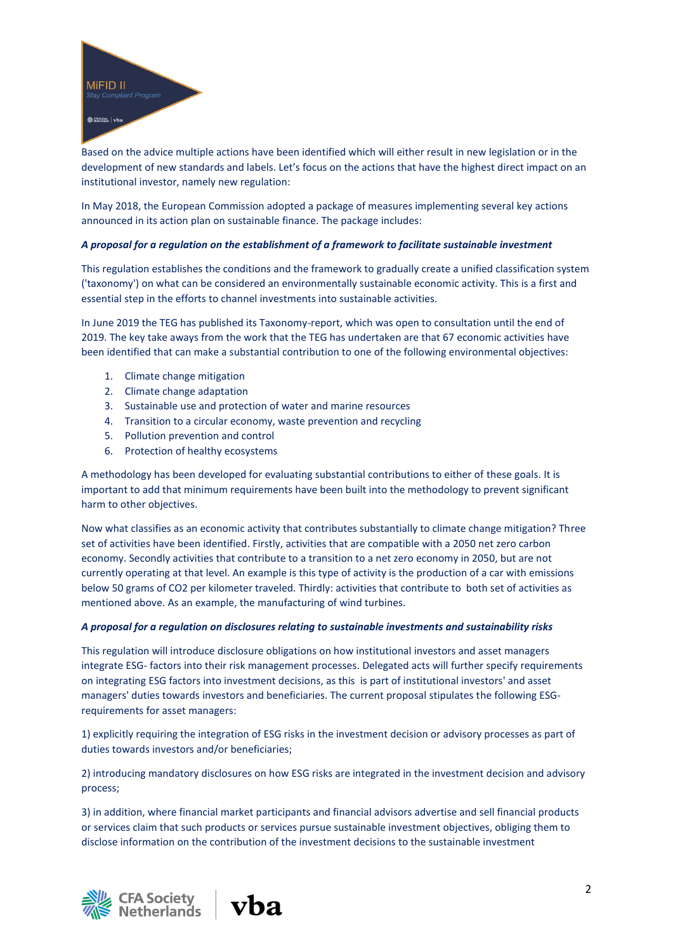

Based on the advice multiple actions have been identified which will either result in new legislation or in the development of new standards and labels. Let's focus on the actions that have the highest direct impact on an institutional investor, namely new regulation:

In May 2018, the European Commission adopted a package of measures implementing several key actions announced in its action plan on sustainable finance. The package includes:

# *A proposal for a regulation on the establishment of a framework to facilitate sustainable investment*

This regulation establishes the conditions and the framework to gradually create a unified classification system ('taxonomy') on what can be considered an environmentally sustainable economic activity. This is a first and essential step in the efforts to channel investments into sustainable activities.

In June 2019 the TEG has published its Taxonomy-report, which was open to consultation until the end of 2019. The key take aways from the work that the TEG has undertaken are that 67 economic activities have been identified that can make a substantial contribution to one of the following environmental objectives:

- 1. Climate change mitigation
- 2. Climate change adaptation
- 3. Sustainable use and protection of water and marine resources
- 4. Transition to a circular economy, waste prevention and recycling
- 5. Pollution prevention and control
- 6. Protection of healthy ecosystems

A methodology has been developed for evaluating substantial contributions to either of these goals. It is important to add that minimum requirements have been built into the methodology to prevent significant harm to other objectives.

Now what classifies as an economic activity that contributes substantially to climate change mitigation? Three set of activities have been identified. Firstly, activities that are compatible with a 2050 net zero carbon economy. Secondly activities that contribute to a transition to a net zero economy in 2050, but are not currently operating at that level. An example is this type of activity is the production of a car with emissions below 50 grams of CO2 per kilometer traveled. Thirdly: activities that contribute to both set of activities as mentioned above. As an example, the manufacturing of wind turbines.

### *A proposal for a regulation on disclosures relating to sustainable investments and sustainability risks*

This regulation will introduce disclosure obligations on how institutional investors and asset managers integrate ESG- factors into their risk management processes. Delegated acts will further specify requirements on integrating ESG factors into investment decisions, as this is part of institutional investors' and asset managers' duties towards investors and beneficiaries. The current proposal stipulates the following ESGrequirements for asset managers:

1) explicitly requiring the integration of ESG risks in the investment decision or advisory processes as part of duties towards investors and/or beneficiaries;

2) introducing mandatory disclosures on how ESG risks are integrated in the investment decision and advisory process;

3) in addition, where financial market participants and financial advisors advertise and sell financial products or services claim that such products or services pursue sustainable investment objectives, obliging them to disclose information on the contribution of the investment decisions to the sustainable investment



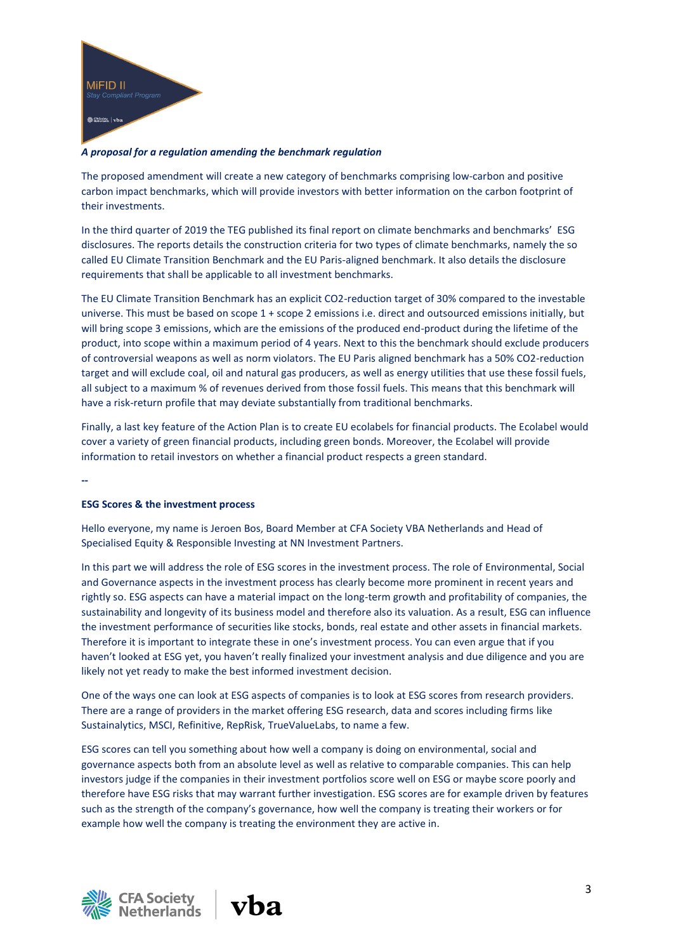

# *A proposal for a regulation amending the benchmark regulation*

The proposed amendment will create a new category of benchmarks comprising low-carbon and positive carbon impact benchmarks, which will provide investors with better information on the carbon footprint of their investments.

In the third quarter of 2019 the TEG published its final report on climate benchmarks and benchmarks' ESG disclosures. The reports details the construction criteria for two types of climate benchmarks, namely the so called EU Climate Transition Benchmark and the EU Paris-aligned benchmark. It also details the disclosure requirements that shall be applicable to all investment benchmarks.

The EU Climate Transition Benchmark has an explicit CO2-reduction target of 30% compared to the investable universe. This must be based on scope 1 + scope 2 emissions i.e. direct and outsourced emissions initially, but will bring scope 3 emissions, which are the emissions of the produced end-product during the lifetime of the product, into scope within a maximum period of 4 years. Next to this the benchmark should exclude producers of controversial weapons as well as norm violators. The EU Paris aligned benchmark has a 50% CO2-reduction target and will exclude coal, oil and natural gas producers, as well as energy utilities that use these fossil fuels, all subject to a maximum % of revenues derived from those fossil fuels. This means that this benchmark will have a risk-return profile that may deviate substantially from traditional benchmarks.

Finally, a last key feature of the Action Plan is to create EU ecolabels for financial products. The Ecolabel would cover a variety of green financial products, including green bonds. Moreover, the Ecolabel will provide information to retail investors on whether a financial product respects a green standard.

**--**

### **ESG Scores & the investment process**

Hello everyone, my name is Jeroen Bos, Board Member at CFA Society VBA Netherlands and Head of Specialised Equity & Responsible Investing at NN Investment Partners.

In this part we will address the role of ESG scores in the investment process. The role of Environmental, Social and Governance aspects in the investment process has clearly become more prominent in recent years and rightly so. ESG aspects can have a material impact on the long-term growth and profitability of companies, the sustainability and longevity of its business model and therefore also its valuation. As a result, ESG can influence the investment performance of securities like stocks, bonds, real estate and other assets in financial markets. Therefore it is important to integrate these in one's investment process. You can even argue that if you haven't looked at ESG yet, you haven't really finalized your investment analysis and due diligence and you are likely not yet ready to make the best informed investment decision.

One of the ways one can look at ESG aspects of companies is to look at ESG scores from research providers. There are a range of providers in the market offering ESG research, data and scores including firms like Sustainalytics, MSCI, Refinitive, RepRisk, TrueValueLabs, to name a few.

ESG scores can tell you something about how well a company is doing on environmental, social and governance aspects both from an absolute level as well as relative to comparable companies. This can help investors judge if the companies in their investment portfolios score well on ESG or maybe score poorly and therefore have ESG risks that may warrant further investigation. ESG scores are for example driven by features such as the strength of the company's governance, how well the company is treating their workers or for example how well the company is treating the environment they are active in.



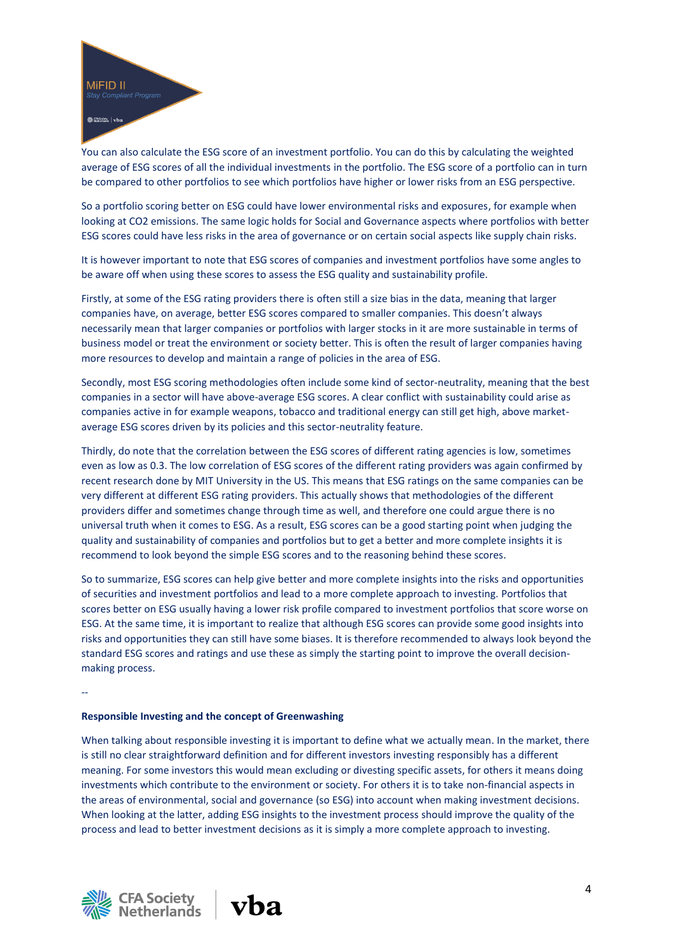

You can also calculate the ESG score of an investment portfolio. You can do this by calculating the weighted average of ESG scores of all the individual investments in the portfolio. The ESG score of a portfolio can in turn be compared to other portfolios to see which portfolios have higher or lower risks from an ESG perspective.

So a portfolio scoring better on ESG could have lower environmental risks and exposures, for example when looking at CO2 emissions. The same logic holds for Social and Governance aspects where portfolios with better ESG scores could have less risks in the area of governance or on certain social aspects like supply chain risks.

It is however important to note that ESG scores of companies and investment portfolios have some angles to be aware off when using these scores to assess the ESG quality and sustainability profile.

Firstly, at some of the ESG rating providers there is often still a size bias in the data, meaning that larger companies have, on average, better ESG scores compared to smaller companies. This doesn't always necessarily mean that larger companies or portfolios with larger stocks in it are more sustainable in terms of business model or treat the environment or society better. This is often the result of larger companies having more resources to develop and maintain a range of policies in the area of ESG.

Secondly, most ESG scoring methodologies often include some kind of sector-neutrality, meaning that the best companies in a sector will have above-average ESG scores. A clear conflict with sustainability could arise as companies active in for example weapons, tobacco and traditional energy can still get high, above marketaverage ESG scores driven by its policies and this sector-neutrality feature.

Thirdly, do note that the correlation between the ESG scores of different rating agencies is low, sometimes even as low as 0.3. The low correlation of ESG scores of the different rating providers was again confirmed by recent research done by MIT University in the US. This means that ESG ratings on the same companies can be very different at different ESG rating providers. This actually shows that methodologies of the different providers differ and sometimes change through time as well, and therefore one could argue there is no universal truth when it comes to ESG. As a result, ESG scores can be a good starting point when judging the quality and sustainability of companies and portfolios but to get a better and more complete insights it is recommend to look beyond the simple ESG scores and to the reasoning behind these scores.

So to summarize, ESG scores can help give better and more complete insights into the risks and opportunities of securities and investment portfolios and lead to a more complete approach to investing. Portfolios that scores better on ESG usually having a lower risk profile compared to investment portfolios that score worse on ESG. At the same time, it is important to realize that although ESG scores can provide some good insights into risks and opportunities they can still have some biases. It is therefore recommended to always look beyond the standard ESG scores and ratings and use these as simply the starting point to improve the overall decisionmaking process.

### **Responsible Investing and the concept of Greenwashing**

When talking about responsible investing it is important to define what we actually mean. In the market, there is still no clear straightforward definition and for different investors investing responsibly has a different meaning. For some investors this would mean excluding or divesting specific assets, for others it means doing investments which contribute to the environment or society. For others it is to take non-financial aspects in the areas of environmental, social and governance (so ESG) into account when making investment decisions. When looking at the latter, adding ESG insights to the investment process should improve the quality of the process and lead to better investment decisions as it is simply a more complete approach to investing.



--

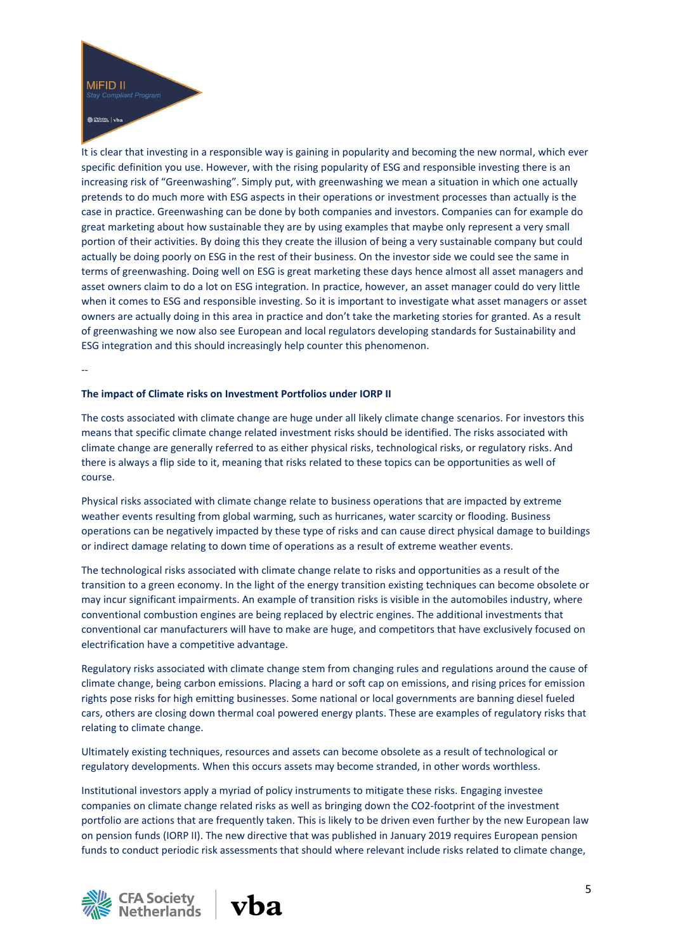

# Society | vba

It is clear that investing in a responsible way is gaining in popularity and becoming the new normal, which ever specific definition you use. However, with the rising popularity of ESG and responsible investing there is an increasing risk of "Greenwashing". Simply put, with greenwashing we mean a situation in which one actually pretends to do much more with ESG aspects in their operations or investment processes than actually is the case in practice. Greenwashing can be done by both companies and investors. Companies can for example do great marketing about how sustainable they are by using examples that maybe only represent a very small portion of their activities. By doing this they create the illusion of being a very sustainable company but could actually be doing poorly on ESG in the rest of their business. On the investor side we could see the same in terms of greenwashing. Doing well on ESG is great marketing these days hence almost all asset managers and asset owners claim to do a lot on ESG integration. In practice, however, an asset manager could do very little when it comes to ESG and responsible investing. So it is important to investigate what asset managers or asset owners are actually doing in this area in practice and don't take the marketing stories for granted. As a result of greenwashing we now also see European and local regulators developing standards for Sustainability and ESG integration and this should increasingly help counter this phenomenon.

--

# **The impact of Climate risks on Investment Portfolios under IORP II**

The costs associated with climate change are huge under all likely climate change scenarios. For investors this means that specific climate change related investment risks should be identified. The risks associated with climate change are generally referred to as either physical risks, technological risks, or regulatory risks. And there is always a flip side to it, meaning that risks related to these topics can be opportunities as well of course.

Physical risks associated with climate change relate to business operations that are impacted by extreme weather events resulting from global warming, such as hurricanes, water scarcity or flooding. Business operations can be negatively impacted by these type of risks and can cause direct physical damage to buildings or indirect damage relating to down time of operations as a result of extreme weather events.

The technological risks associated with climate change relate to risks and opportunities as a result of the transition to a green economy. In the light of the energy transition existing techniques can become obsolete or may incur significant impairments. An example of transition risks is visible in the automobiles industry, where conventional combustion engines are being replaced by electric engines. The additional investments that conventional car manufacturers will have to make are huge, and competitors that have exclusively focused on electrification have a competitive advantage.

Regulatory risks associated with climate change stem from changing rules and regulations around the cause of climate change, being carbon emissions. Placing a hard or soft cap on emissions, and rising prices for emission rights pose risks for high emitting businesses. Some national or local governments are banning diesel fueled cars, others are closing down thermal coal powered energy plants. These are examples of regulatory risks that relating to climate change.

Ultimately existing techniques, resources and assets can become obsolete as a result of technological or regulatory developments. When this occurs assets may become stranded, in other words worthless.

Institutional investors apply a myriad of policy instruments to mitigate these risks. Engaging investee companies on climate change related risks as well as bringing down the CO2-footprint of the investment portfolio are actions that are frequently taken. This is likely to be driven even further by the new European law on pension funds (IORP II). The new directive that was published in January 2019 requires European pension funds to conduct periodic risk assessments that should where relevant include risks related to climate change,



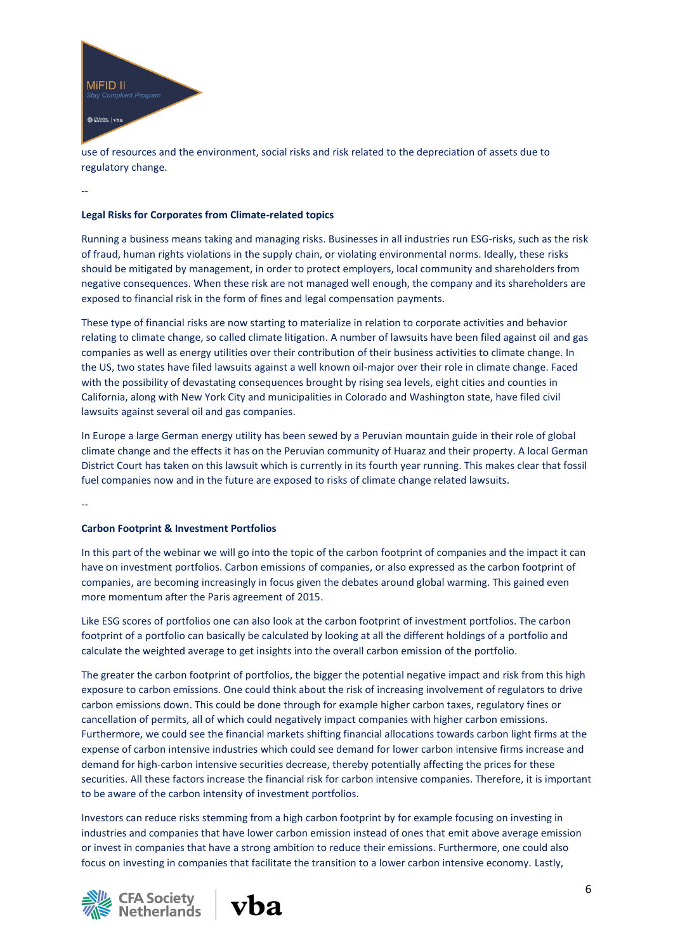

use of resources and the environment, social risks and risk related to the depreciation of assets due to regulatory change.

--

# **Legal Risks for Corporates from Climate-related topics**

Running a business means taking and managing risks. Businesses in all industries run ESG-risks, such as the risk of fraud, human rights violations in the supply chain, or violating environmental norms. Ideally, these risks should be mitigated by management, in order to protect employers, local community and shareholders from negative consequences. When these risk are not managed well enough, the company and its shareholders are exposed to financial risk in the form of fines and legal compensation payments.

These type of financial risks are now starting to materialize in relation to corporate activities and behavior relating to climate change, so called climate litigation. A number of lawsuits have been filed against oil and gas companies as well as energy utilities over their contribution of their business activities to climate change. In the US, two states have filed lawsuits against a well known oil-major over their role in climate change. Faced with the possibility of devastating consequences brought by rising sea levels, eight cities and counties in California, along with New York City and municipalities in Colorado and Washington state, have filed civil lawsuits against several oil and gas companies.

In Europe a large German energy utility has been sewed by a Peruvian mountain guide in their role of global climate change and the effects it has on the Peruvian community of Huaraz and their property. A local German District Court has taken on this lawsuit which is currently in its fourth year running. This makes clear that fossil fuel companies now and in the future are exposed to risks of climate change related lawsuits.

--

### **Carbon Footprint & Investment Portfolios**

In this part of the webinar we will go into the topic of the carbon footprint of companies and the impact it can have on investment portfolios. Carbon emissions of companies, or also expressed as the carbon footprint of companies, are becoming increasingly in focus given the debates around global warming. This gained even more momentum after the Paris agreement of 2015.

Like ESG scores of portfolios one can also look at the carbon footprint of investment portfolios. The carbon footprint of a portfolio can basically be calculated by looking at all the different holdings of a portfolio and calculate the weighted average to get insights into the overall carbon emission of the portfolio.

The greater the carbon footprint of portfolios, the bigger the potential negative impact and risk from this high exposure to carbon emissions. One could think about the risk of increasing involvement of regulators to drive carbon emissions down. This could be done through for example higher carbon taxes, regulatory fines or cancellation of permits, all of which could negatively impact companies with higher carbon emissions. Furthermore, we could see the financial markets shifting financial allocations towards carbon light firms at the expense of carbon intensive industries which could see demand for lower carbon intensive firms increase and demand for high-carbon intensive securities decrease, thereby potentially affecting the prices for these securities. All these factors increase the financial risk for carbon intensive companies. Therefore, it is important to be aware of the carbon intensity of investment portfolios.

Investors can reduce risks stemming from a high carbon footprint by for example focusing on investing in industries and companies that have lower carbon emission instead of ones that emit above average emission or invest in companies that have a strong ambition to reduce their emissions. Furthermore, one could also focus on investing in companies that facilitate the transition to a lower carbon intensive economy. Lastly,